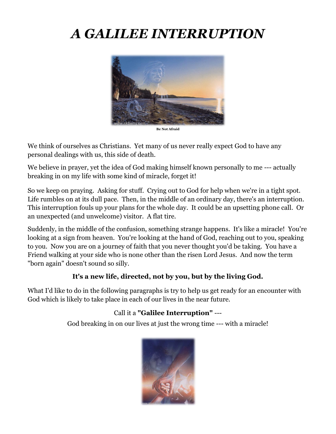# *A GALILEE INTERRUPTION*



**Be Not Afraid**

We think of ourselves as Christians. Yet many of us never really expect God to have any personal dealings with us, this side of death.

We believe in prayer, yet the idea of God making himself known personally to me --- actually breaking in on my life with some kind of miracle, forget it!

So we keep on praying. Asking for stuff. Crying out to God for help when we're in a tight spot. Life rumbles on at its dull pace. Then, in the middle of an ordinary day, there's an interruption. This interruption fouls up your plans for the whole day. It could be an upsetting phone call. Or an unexpected (and unwelcome) visitor. A flat tire.

Suddenly, in the middle of the confusion, something strange happens. It's like a miracle! You're looking at a sign from heaven. You're looking at the hand of God, reaching out to you, speaking to you. Now you are on a journey of faith that you never thought you'd be taking. You have a Friend walking at your side who is none other than the risen Lord Jesus. And now the term "born again" doesn't sound so silly.

# **It's a new life, directed, not by you, but by the living God.**

What I'd like to do in the following paragraphs is try to help us get ready for an encounter with God which is likely to take place in each of our lives in the near future.

# Call it a **"Galilee Interruption"** ---

God breaking in on our lives at just the wrong time --- with a miracle!

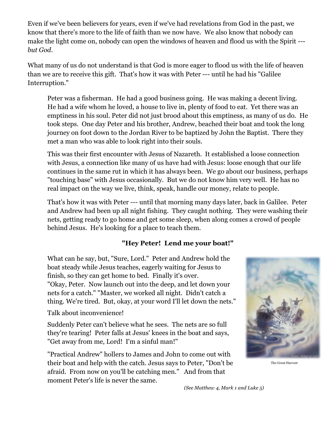Even if we've been believers for years, even if we've had revelations from God in the past, we know that there's more to the life of faith than we now have. We also know that nobody can make the light come on, nobody can open the windows of heaven and flood us with the Spirit -- *but God.*

What many of us do not understand is that God is more eager to flood us with the life of heaven than we are to receive this gift. That's how it was with Peter --- until he had his "Galilee Interruption."

Peter was a fisherman. He had a good business going. He was making a decent living. He had a wife whom he loved, a house to live in, plenty of food to eat. Yet there was an emptiness in his soul. Peter did not just brood about this emptiness, as many of us do. He took steps. One day Peter and his brother, Andrew, beached their boat and took the long journey on foot down to the Jordan River to be baptized by John the Baptist. There they met a man who was able to look right into their souls.

This was their first encounter with Jesus of Nazareth. It established a loose connection with Jesus, a connection like many of us have had with Jesus: loose enough that our life continues in the same rut in which it has always been. We go about our business, perhaps "touching base" with Jesus occasionally. But we do not know him very well. He has no real impact on the way we live, think, speak, handle our money, relate to people.

That's how it was with Peter --- until that morning many days later, back in Galilee. Peter and Andrew had been up all night fishing. They caught nothing. They were washing their nets, getting ready to go home and get some sleep, when along comes a crowd of people behind Jesus. He's looking for a place to teach them.

#### **"Hey Peter! Lend me your boat!"**

What can he say, but, "Sure, Lord." Peter and Andrew hold the boat steady while Jesus teaches, eagerly waiting for Jesus to finish, so they can get home to bed. Finally it's over. "Okay, Peter. Now launch out into the deep, and let down your nets for a catch." "Master, we worked all night. Didn't catch a thing. We're tired. But, okay, at your word I'll let down the nets."

Talk about inconvenience!

Suddenly Peter can't believe what he sees. The nets are so full they're tearing! Peter falls at Jesus' knees in the boat and says, "Get away from me, Lord! I'm a sinful man!"

"Practical Andrew" hollers to James and John to come out with their boat and help with the catch. Jesus says to Peter, "Don't be afraid. From now on you'll be catching men." And from that moment Peter's life is never the same.



The Great Harvest

 *(See Matthew 4, Mark 1 and Luke 5)*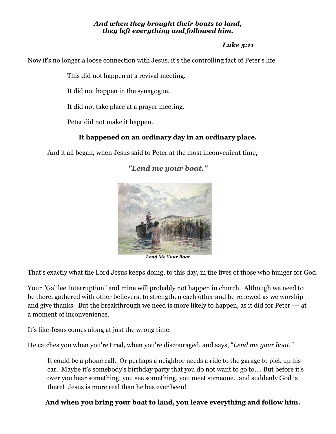#### *And when they brought their boats to land, they left everything and followed him.*

#### *Luke 5:11*

Now it's no longer a loose connection with Jesus, it's the controlling fact of Peter's life.

This did not happen at a revival meeting.

It did not happen in the synagogue.

It did not take place at a prayer meeting.

Peter did not make it happen.

#### **It happened on an ordinary day in an ordinary place.**

And it all began, when Jesus said to Peter at the most inconvenient time,



## *"Lend me your boat."*

*Lend Me Your Boat*

That's exactly what the Lord Jesus keeps doing, to this day, in the lives of those who hunger for God.

Your "Galilee Interruption" and mine will probably not happen in church. Although we need to be there, gathered with other believers, to strengthen each other and be renewed as we worship and give thanks. But the breakthrough we need is more likely to happen, as it did for Peter --- at a moment of inconvenience.

It's like Jesus comes along at just the wrong time.

He catches you when you're tired, when you're discouraged, and says, "*Lend me your boat."*

It could be a phone call. Or perhaps a neighbor needs a ride to the garage to pick up his car. Maybe it's somebody's birthday party that you do not want to go to…. But before it's over you hear something, you see something, you meet someone…and suddenly God is there! Jesus is more real than he has ever been!

### **And when you bring your boat to land, you leave everything and follow him.**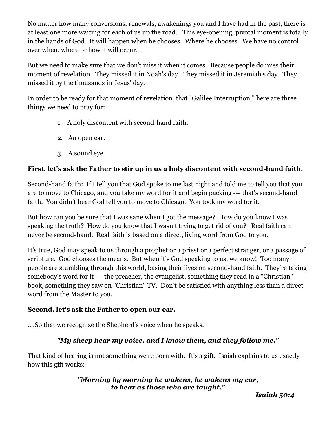No matter how many conversions, renewals, awakenings you and I have had in the past, there is at least one more waiting for each of us up the road. This eye-opening, pivotal moment is totally in the hands of God. It will happen when he chooses. Where he chooses. We have no control over when, where or how it will occur.

But we need to make sure that we don't miss it when it comes. Because people do miss their moment of revelation. They missed it in Noah's day. They missed it in Jeremiah's day. They missed it by the thousands in Jesus' day.

In order to be ready for that moment of revelation, that "Galilee Interruption," here are three things we need to pray for:

- 1. A holy discontent with second-hand faith.
- 2. An open ear.
- 3. A sound eye.

### **First, let's ask the Father to stir up in us a holy discontent with second-hand faith**.

Second-hand faith: If I tell you that God spoke to me last night and told me to tell you that you are to move to Chicago, and you take my word for it and begin packing --- that's second-hand faith. You didn't hear God tell you to move to Chicago. You took my word for it.

But how can you be sure that I was sane when I got the message? How do you know I was speaking the truth? How do you know that I wasn't trying to get rid of you? Real faith can never be second-hand. Real faith is based on a direct, living word from God to you.

It's true, God may speak to us through a prophet or a priest or a perfect stranger, or a passage of scripture. God chooses the means. But when it's God speaking to us, we know! Too many people are stumbling through this world, basing their lives on second-hand faith. They're taking somebody's word for it --- the preacher, the evangelist, something they read in a "Christian" book, something they saw on "Christian" TV. Don't be satisfied with anything less than a direct word from the Master to you.

### **Second, let's ask the Father to open our ear.**

….So that we recognize the Shepherd's voice when he speaks.

### *"My sheep hear my voice, and I know them, and they follow me."*

That kind of hearing is not something we're born with. It's a gift. Isaiah explains to us exactly how this gift works:

#### *"Morning by morning he wakens, he wakens my ear, to hear as those who are taught."*

*Isaiah 50:4*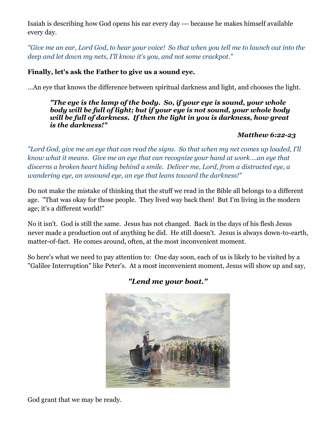Isaiah is describing how God opens his ear every day --- because he makes himself available every day.

*"Give me an ear, Lord God, to hear your voice! So that when you tell me to launch out into the deep and let down my nets, I'll know it's you, and not some crackpot."*

#### **Finally, let's ask the Father to give us a sound eye.**

…An eye that knows the difference between spiritual darkness and light, and chooses the light.

*"The eye is the lamp of the body. So, if your eye is sound, your whole body will be full of light; but if your eye is not sound, your whole body will be full of darkness. If then the light in you is darkness, how great is the darkness!"*

#### *Matthew 6:22-23*

*"Lord God, give me an eye that can read the signs. So that when my net comes up loaded, I'll know what it means. Give me an eye that can recognize your hand at work….an eye that discerns a broken heart hiding behind a smile. Deliver me, Lord, from a distracted eye, a wandering eye, an unsound eye, an eye that leans toward the darkness!"*

Do not make the mistake of thinking that the stuff we read in the Bible all belongs to a different age. "That was okay for those people. They lived way back then! But I'm living in the modern age; it's a different world!"

No it isn't. God is still the same. Jesus has not changed. Back in the days of his flesh Jesus never made a production out of anything he did. He still doesn't. Jesus is always down-to-earth, matter-of-fact. He comes around, often, at the most inconvenient moment.

So here's what we need to pay attention to: One day soon, each of us is likely to be visited by a "Galilee Interruption" like Peter's. At a most inconvenient moment, Jesus will show up and say,



# *"Lend me your boat."*

God grant that we may be ready.